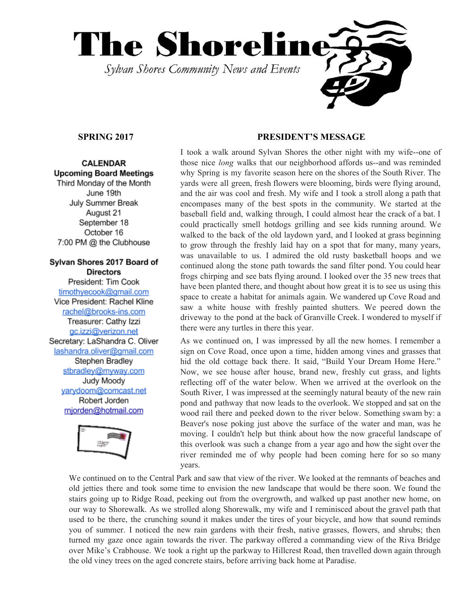

# **CALENDAR Upcoming Board Meetings**

Third Monday of the Month June 19th July Summer Break August 21 September 18 October 16 7:00 PM @ the Clubhouse

## Sylvan Shores 2017 Board of **Directors**

President: Tim Cook timothyecook@gmail.com Vice President: Rachel Kline rachel@brooks-ins.com Treasurer: Cathy Izzi gc.izzi@verizon.net Secretary: LaShandra C. Oliver lashandra.oliver@gmail.com Stephen Bradley stbradley@myway.com Judy Moody varydoom@comcast.net Robert Jorden mjorden@hotmail.com



# **SPRING 2017 PRESIDENT'S MESSAGE**

I took a walk around Sylvan Shores the other night with my wife--one of those nice *long* walks that our neighborhood affords us--and was reminded why Spring is my favorite season here on the shores of the South River. The yards were all green, fresh flowers were blooming, birds were flying around, and the air was cool and fresh. My wife and I took a stroll along a path that encompases many of the best spots in the community. We started at the baseball field and, walking through, I could almost hear the crack of a bat. I could practically smell hotdogs grilling and see kids running around. We walked to the back of the old laydown yard, and I looked at grass beginning to grow through the freshly laid hay on a spot that for many, many years, was unavailable to us. I admired the old rusty basketball hoops and we continued along the stone path towards the sand filter pond. You could hear frogs chirping and see bats flying around. I looked over the 35 new trees that have been planted there, and thought about how great it is to see us using this space to create a habitat for animals again. We wandered up Cove Road and saw a white house with freshly painted shutters. We peered down the driveway to the pond at the back of Granville Creek. I wondered to myself if there were any turtles in there this year.

As we continued on, I was impressed by all the new homes. I remember a sign on Cove Road, once upon a time, hidden among vines and grasses that hid the old cottage back there. It said, "Build Your Dream Home Here." Now, we see house after house, brand new, freshly cut grass, and lights reflecting off of the water below. When we arrived at the overlook on the South River, I was impressed at the seemingly natural beauty of the new rain pond and pathway that now leads to the overlook. We stopped and sat on the wood rail there and peeked down to the river below. Something swam by: a Beaver's nose poking just above the surface of the water and man, was he moving. I couldn't help but think about how the now graceful landscape of this overlook was such a change from a year ago and how the sight over the river reminded me of why people had been coming here for so so many years.

We continued on to the Central Park and saw that view of the river. We looked at the remnants of beaches and old jetties there and took some time to envision the new landscape that would be there soon. We found the stairs going up to Ridge Road, peeking out from the overgrowth, and walked up past another new home, on our way to Shorewalk. As we strolled along Shorewalk, my wife and I reminisced about the gravel path that used to be there, the crunching sound it makes under the tires of your bicycle, and how that sound reminds you of summer. I noticed the new rain gardens with their fresh, native grasses, flowers, and shrubs; then turned my gaze once again towards the river. The parkway offered a commanding view of the Riva Bridge over Mike's Crabhouse. We took a right up the parkway to Hillcrest Road, then travelled down again through the old viney trees on the aged concrete stairs, before arriving back home at Paradise.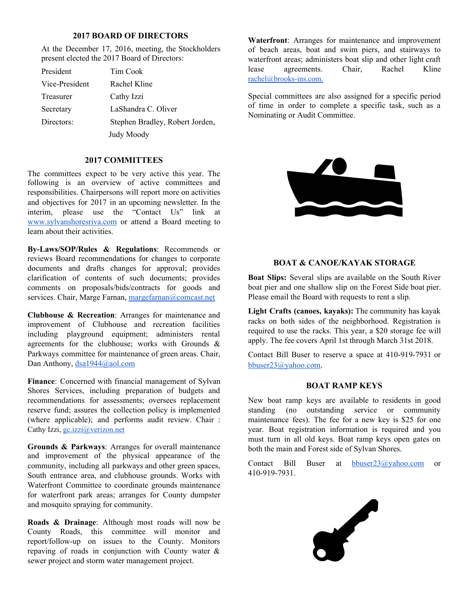## **2017 BOARD OF DIRECTORS**

At the December 17, 2016, meeting, the Stockholders present elected the 2017 Board of Directors:

| President         | Tim Cook                        |
|-------------------|---------------------------------|
| Vice-President    | Rachel Kline                    |
| Treasurer         | Cathy Izzi                      |
| Secretary         | LaShandra C. Oliver             |
| Directors:        | Stephen Bradley, Robert Jorden, |
| <b>Judy Moody</b> |                                 |

## **2017 COMMITTEES**

The committees expect to be very active this year. The following is an overview of active committees and responsibilities. Chairpersons will report more on activities and objectives for 2017 in an upcoming newsletter. In the interim, please use the "Contact Us" link at [www.sylvanshoresriva.com](http://www.sylvanshoresriva.com/) or attend a Board meeting to learn about their activities.

**By-Laws/SOP/Rules & Regulations**: Recommends or reviews Board recommendations for changes to corporate documents and drafts changes for approval; provides clarification of contents of such documents; provides comments on proposals/bids/contracts for goods and services. Chair, Marge Farnan, [margefarnan@comcast.net](mailto:margefarnan@comcast.net)

**Clubhouse & Recreation**: Arranges for maintenance and improvement of Clubhouse and recreation facilities including playground equipment; administers rental agreements for the clubhouse; works with Grounds & Parkways committee for maintenance of green areas. Chair, Dan Anthony, [dsa1944@aol.com](mailto:dsa1944@aol.com)

**Finance**: Concerned with financial management of Sylvan Shores Services, including preparation of budgets and recommendations for assessments; oversees replacement reserve fund; assures the collection policy is implemented (where applicable); and performs audit review. Chair : Cathy Izzi, gc.izzi@verizon.net

**Grounds & Parkways**: Arranges for overall maintenance and improvement of the physical appearance of the community, including all parkways and other green spaces, South entrance area, and clubhouse grounds. Works with Waterfront Committee to coordinate grounds maintenance for waterfront park areas; arranges for County dumpster and mosquito spraying for community.

**Roads & Drainage**: Although most roads will now be County Roads, this committee will monitor and report/follow-up on issues to the County. Monitors repaving of roads in conjunction with County water & sewer project and storm water management project.

**Waterfront**: Arranges for maintenance and improvement of beach areas, boat and swim piers, and stairways to waterfront areas; administers boat slip and other light craft lease agreements. Chair, Rachel Kline rachel@brooks-ins.com.

Special committees are also assigned for a specific period of time in order to complete a specific task, such as a Nominating or Audit Committee.



### **BOAT & CANOE/KAYAK STORAGE**

**Boat Slips:** Several slips are available on the South River boat pier and one shallow slip on the Forest Side boat pier. Please email the Board with requests to rent a slip.

**Light Crafts (canoes, kayaks):** The community has kayak racks on both sides of the neighborhood. Registration is required to use the racks. This year, a \$20 storage fee will apply. The fee covers April 1st through March 31st 2018.

Contact Bill Buser to reserve a space at 410-919-7931 or [bbuser23@yahoo.com](mailto:bbuser23@yahoo.com).

#### **BOAT RAMP KEYS**

New boat ramp keys are available to residents in good standing (no outstanding service or community maintenance fees). The fee for a new key is \$25 for one year. Boat registration information is required and you must turn in all old keys. Boat ramp keys open gates on both the main and Forest side of Sylvan Shores.

Contact Bill Buser at [bbuser23@yahoo.com](mailto:bbuser23@yahoo.com) or 410-919-7931.

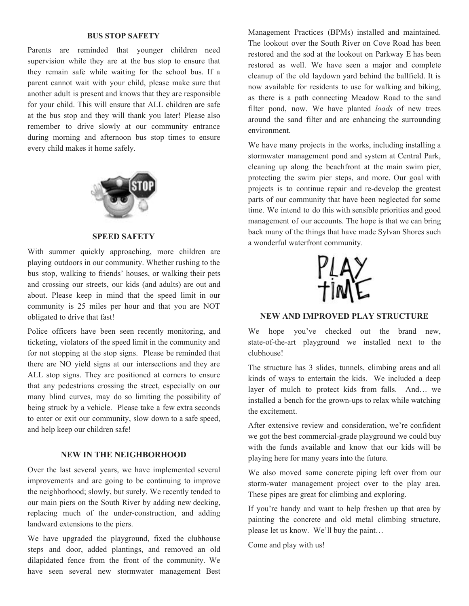## **BUS STOP SAFETY**

Parents are reminded that younger children need supervision while they are at the bus stop to ensure that they remain safe while waiting for the school bus. If a parent cannot wait with your child, please make sure that another adult is present and knows that they are responsible for your child. This will ensure that ALL children are safe at the bus stop and they will thank you later! Please also remember to drive slowly at our community entrance during morning and afternoon bus stop times to ensure every child makes it home safely.



#### **SPEED SAFETY**

With summer quickly approaching, more children are playing outdoors in our community. Whether rushing to the bus stop, walking to friends' houses, or walking their pets and crossing our streets, our kids (and adults) are out and about. Please keep in mind that the speed limit in our community is 25 miles per hour and that you are NOT obligated to drive that fast!

Police officers have been seen recently monitoring, and ticketing, violators of the speed limit in the community and for not stopping at the stop signs. Please be reminded that there are NO yield signs at our intersections and they are ALL stop signs. They are positioned at corners to ensure that any pedestrians crossing the street, especially on our many blind curves, may do so limiting the possibility of being struck by a vehicle. Please take a few extra seconds to enter or exit our community, slow down to a safe speed, and help keep our children safe!

#### **NEW IN THE NEIGHBORHOOD**

Over the last several years, we have implemented several improvements and are going to be continuing to improve the neighborhood; slowly, but surely. We recently tended to our main piers on the South River by adding new decking, replacing much of the under-construction, and adding landward extensions to the piers.

We have upgraded the playground, fixed the clubhouse steps and door, added plantings, and removed an old dilapidated fence from the front of the community. We have seen several new stormwater management Best Management Practices (BPMs) installed and maintained. The lookout over the South River on Cove Road has been restored and the sod at the lookout on Parkway E has been restored as well. We have seen a major and complete cleanup of the old laydown yard behind the ballfield. It is now available for residents to use for walking and biking, as there is a path connecting Meadow Road to the sand filter pond, now. We have planted *loads* of new trees around the sand filter and are enhancing the surrounding environment.

We have many projects in the works, including installing a stormwater management pond and system at Central Park, cleaning up along the beachfront at the main swim pier, protecting the swim pier steps, and more. Our goal with projects is to continue repair and re-develop the greatest parts of our community that have been neglected for some time. We intend to do this with sensible priorities and good management of our accounts. The hope is that we can bring back many of the things that have made Sylvan Shores such a wonderful waterfront community.



# **NEW AND IMPROVED PLAY STRUCTURE**

We hope you've checked out the brand new, state-of-the-art playground we installed next to the clubhouse!

The structure has 3 slides, tunnels, climbing areas and all kinds of ways to entertain the kids. We included a deep layer of mulch to protect kids from falls. And… we installed a bench for the grown-ups to relax while watching the excitement.

After extensive review and consideration, we're confident we got the best commercial-grade playground we could buy with the funds available and know that our kids will be playing here for many years into the future.

We also moved some concrete piping left over from our storm-water management project over to the play area. These pipes are great for climbing and exploring.

If you're handy and want to help freshen up that area by painting the concrete and old metal climbing structure, please let us know. We'll buy the paint…

Come and play with us!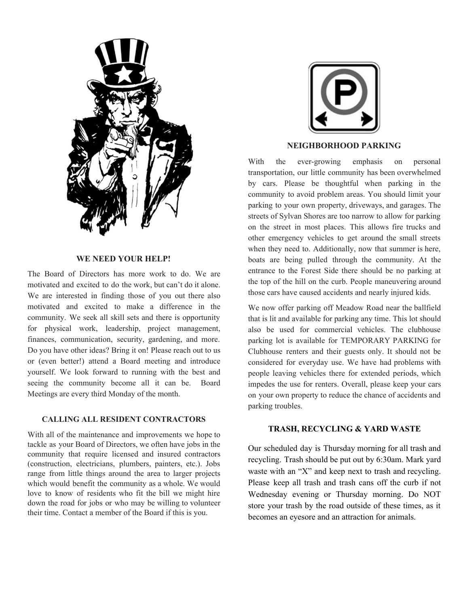

### **WE NEED YOUR HELP!**

The Board of Directors has more work to do. We are motivated and excited to do the work, but can't do it alone. We are interested in finding those of you out there also motivated and excited to make a difference in the community. We seek all skill sets and there is opportunity for physical work, leadership, project management, finances, communication, security, gardening, and more. Do you have other ideas? Bring it on! Please reach out to us or (even better!) attend a Board meeting and introduce yourself. We look forward to running with the best and seeing the community become all it can be. Board Meetings are every third Monday of the month.

## **CALLING ALL RESIDENT CONTRACTORS**

With all of the maintenance and improvements we hope to tackle as your Board of Directors, we often have jobs in the community that require licensed and insured contractors (construction, electricians, plumbers, painters, etc.). Jobs range from little things around the area to larger projects which would benefit the community as a whole. We would love to know of residents who fit the bill we might hire down the road for jobs or who may be willing to volunteer their time. Contact a member of the Board if this is you.



## **NEIGHBORHOOD PARKING**

With the ever-growing emphasis on personal transportation, our little community has been overwhelmed by cars. Please be thoughtful when parking in the community to avoid problem areas. You should limit your parking to your own property, driveways, and garages. The streets of Sylvan Shores are too narrow to allow for parking on the street in most places. This allows fire trucks and other emergency vehicles to get around the small streets when they need to. Additionally, now that summer is here, boats are being pulled through the community. At the entrance to the Forest Side there should be no parking at the top of the hill on the curb. People maneuvering around those cars have caused accidents and nearly injured kids.

We now offer parking off Meadow Road near the ballfield that is lit and available for parking any time. This lot should also be used for commercial vehicles. The clubhouse parking lot is available for TEMPORARY PARKING for Clubhouse renters and their guests only. It should not be considered for everyday use. We have had problems with people leaving vehicles there for extended periods, which impedes the use for renters. Overall, please keep your cars on your own property to reduce the chance of accidents and parking troubles.

## **TRASH, RECYCLING & YARD WASTE**

Our scheduled day is Thursday morning for all trash and recycling. Trash should be put out by 6:30am. Mark yard waste with an "X" and keep next to trash and recycling. Please keep all trash and trash cans off the curb if not Wednesday evening or Thursday morning. Do NOT store your trash by the road outside of these times, as it becomes an eyesore and an attraction for animals.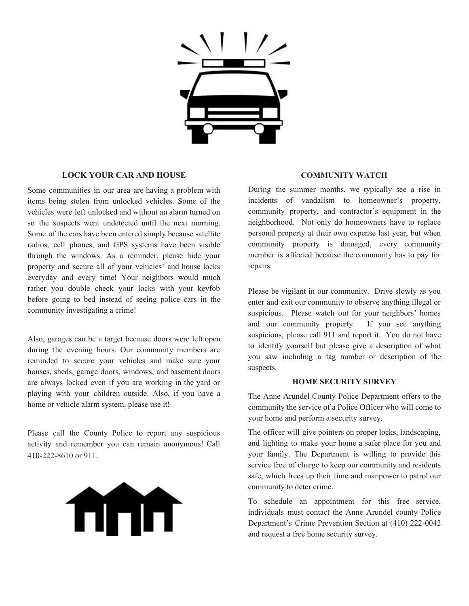

## **LOCK YOUR CAR AND HOUSE**

Some communities in our area are having a problem with items being stolen from unlocked vehicles. Some of the vehicles were left unlocked and without an alarm turned on so the suspects went undetected until the next morning. Some of the cars have been entered simply because satellite radios, cell phones, and GPS systems have been visible through the windows. As a reminder, please hide your property and secure all of your vehicles' and house locks everyday and every time! Your neighbors would much rather you double check your locks with your keyfob before going to bed instead of seeing police cars in the community investigating a crime!

Also, garages can be a target because doors were left open during the evening hours. Our community members are reminded to secure your vehicles and make sure your houses, sheds, garage doors, windows, and basement doors are always locked even if you are working in the yard or playing with your children outside. Also, if you have a home or vehicle alarm system, please use it!

Please call the County Police to report any suspicious activity and remember you can remain anonymous! Call 410-222-8610 or 911.



#### **COMMUNITY WATCH**

During the summer months, we typically see a rise in incidents of vandalism to homeowner's property, community property, and contractor's equipment in the neighborhood. Not only do homeowners have to replace personal property at their own expense last year, but when community property is damaged, every community member is affected because the community has to pay for repairs.

Please be vigilant in our community. Drive slowly as you enter and exit our community to observe anything illegal or suspicious. Please watch out for your neighbors' homes and our community property. If you see anything suspicious, please call 911 and report it. You do not have to identify yourself but please give a description of what you saw including a tag number or description of the suspects.

#### **HOME SECURITY SURVEY**

The Anne Arundel County Police Department offers to the community the service of a Police Officer who will come to your home and perform a security survey.

The officer will give pointers on proper locks, landscaping, and lighting to make your home a safer place for you and your family. The Department is willing to provide this service free of charge to keep our community and residents safe, which frees up their time and manpower to patrol our community to deter crime.

To schedule an appointment for this free service, individuals must contact the Anne Arundel county Police Department's Crime Prevention Section at (410) 222-0042 and request a free home security survey.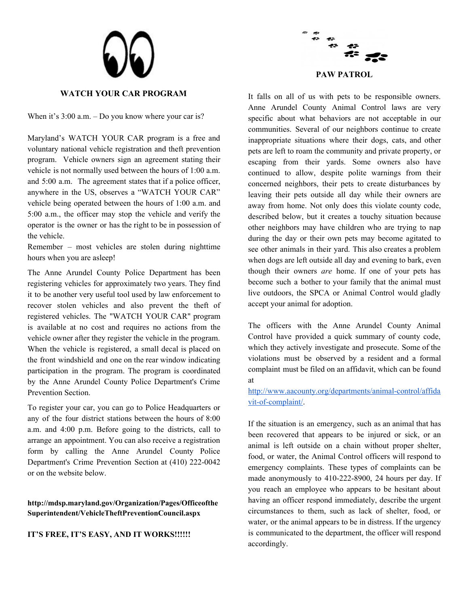



## **WATCH YOUR CAR PROGRAM**

When it's 3:00 a.m. – Do you know where your car is?

Maryland's WATCH YOUR CAR program is a free and voluntary national vehicle registration and theft prevention program. Vehicle owners sign an agreement stating their vehicle is not normally used between the hours of 1:00 a.m. and 5:00 a.m. The agreement states that if a police officer, anywhere in the US, observes a "WATCH YOUR CAR" vehicle being operated between the hours of 1:00 a.m. and 5:00 a.m., the officer may stop the vehicle and verify the operator is the owner or has the right to be in possession of the vehicle.

Remember – most vehicles are stolen during nighttime hours when you are asleep!

The Anne Arundel County Police Department has been registering vehicles for approximately two years. They find it to be another very useful tool used by law enforcement to recover stolen vehicles and also prevent the theft of registered vehicles. The "WATCH YOUR CAR" program is available at no cost and requires no actions from the vehicle owner after they register the vehicle in the program. When the vehicle is registered, a small decal is placed on the front windshield and one on the rear window indicating participation in the program. The program is coordinated by the Anne Arundel County Police Department's Crime Prevention Section.

To register your car, you can go to Police Headquarters or any of the four district stations between the hours of 8:00 a.m. and 4:00 p.m. Before going to the districts, call to arrange an appointment. You can also receive a registration form by calling the Anne Arundel County Police Department's Crime Prevention Section at (410) 222-0042 or on the website below.

# **http://mdsp.maryland.gov/Organization/Pages/Officeofthe Superintendent/VehicleTheftPreventionCouncil.aspx**

## **IT'S FREE, IT'S EASY, AND IT WORKS!!!!!!**

It falls on all of us with pets to be responsible owners. Anne Arundel County Animal Control laws are very specific about what behaviors are not acceptable in our communities. Several of our neighbors continue to create inappropriate situations where their dogs, cats, and other pets are left to roam the community and private property, or escaping from their yards. Some owners also have continued to allow, despite polite warnings from their concerned neighbors, their pets to create disturbances by leaving their pets outside all day while their owners are away from home. Not only does this violate county code, described below, but it creates a touchy situation because other neighbors may have children who are trying to nap during the day or their own pets may become agitated to see other animals in their yard. This also creates a problem when dogs are left outside all day and evening to bark, even though their owners *are* home. If one of your pets has become such a bother to your family that the animal must live outdoors, the SPCA or Animal Control would gladly accept your animal for adoption.

The officers with the Anne Arundel County Animal Control have provided a quick summary of county code, which they actively investigate and prosecute. Some of the violations must be observed by a resident and a formal complaint must be filed on an affidavit, which can be found at

# [http://www.aacounty.org/departments/animal-control/affida](http://www.aacounty.org/departments/animal-control/affidavit-of-complaint/) [vit-of-complaint/.](http://www.aacounty.org/departments/animal-control/affidavit-of-complaint/)

If the situation is an emergency, such as an animal that has been recovered that appears to be injured or sick, or an animal is left outside on a chain without proper shelter, food, or water, the Animal Control officers will respond to emergency complaints. These types of complaints can be made anonymously to 410-222-8900, 24 hours per day. If you reach an employee who appears to be hesitant about having an officer respond immediately, describe the urgent circumstances to them, such as lack of shelter, food, or water, or the animal appears to be in distress. If the urgency is communicated to the department, the officer will respond accordingly.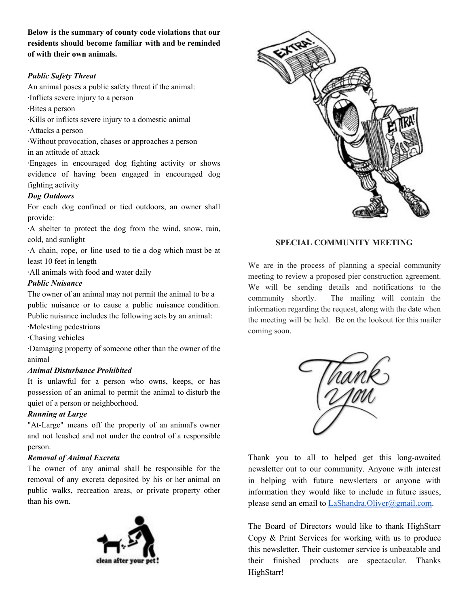**Below is the summary of county code violations that our residents should become familiar with and be reminded of with their own animals.**

# *Public Safety Threat*

An animal poses a public safety threat if the animal:

·Inflicts severe injury to a person

·Bites a person

·Kills or inflicts severe injury to a domestic animal

·Attacks a person

·Without provocation, chases or approaches a person in an attitude of attack

·Engages in encouraged dog fighting activity or shows evidence of having been engaged in encouraged dog fighting activity

# *Dog Outdoors*

For each dog confined or tied outdoors, an owner shall provide:

·A shelter to protect the dog from the wind, snow, rain, cold, and sunlight

·A chain, rope, or line used to tie a dog which must be at least 10 feet in length

·All animals with food and water daily

# *Public Nuisance*

The owner of an animal may not permit the animal to be a public nuisance or to cause a public nuisance condition. Public nuisance includes the following acts by an animal:

·Molesting pedestrians

·Chasing vehicles

·Damaging property of someone other than the owner of the animal

# *Animal Disturbance Prohibited*

It is unlawful for a person who owns, keeps, or has possession of an animal to permit the animal to disturb the quiet of a person or neighborhood.

# *Running at Large*

"At-Large" means off the property of an animal's owner and not leashed and not under the control of a responsible person.

## *Removal of Animal Excreta*

The owner of any animal shall be responsible for the removal of any excreta deposited by his or her animal on public walks, recreation areas, or private property other than his own.





# **SPECIAL COMMUNITY MEETING**

We are in the process of planning a special community meeting to review a proposed pier construction agreement. We will be sending details and notifications to the community shortly. The mailing will contain the information regarding the request, along with the date when the meeting will be held. Be on the lookout for this mailer coming soon.



Thank you to all to helped get this long-awaited newsletter out to our community. Anyone with interest in helping with future newsletters or anyone with information they would like to include in future issues, please send an email to [LaShandra.Oliver@gmail.com.](mailto:LaShandra.Oliver@gmail.com)

The Board of Directors would like to thank HighStarr Copy & Print Services for working with us to produce this newsletter. Their customer service is unbeatable and their finished products are spectacular. Thanks HighStarr!